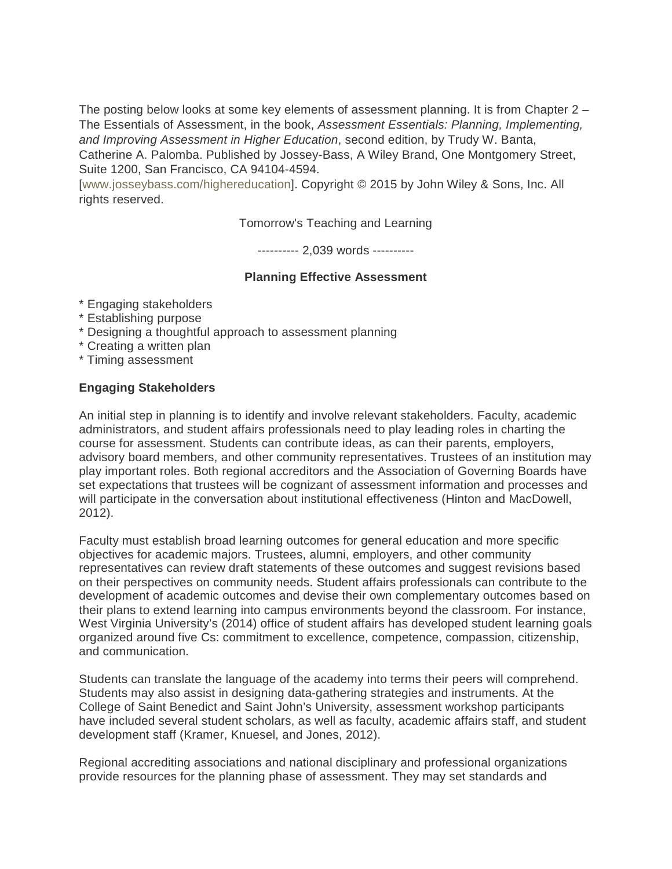The posting below looks at some key elements of assessment planning. It is from Chapter 2 – The Essentials of Assessment, in the book, *Assessment Essentials: Planning, Implementing, and Improving Assessment in Higher Education*, second edition, by Trudy W. Banta, Catherine A. Palomba. Published by Jossey-Bass, A Wiley Brand, One Montgomery Street, Suite 1200, San Francisco, CA 94104-4594.

[\[www.josseybass.com/highereducation\]](http://www.josseybass.com/highereducation). Copyright © 2015 by John Wiley & Sons, Inc. All rights reserved.

Tomorrow's Teaching and Learning

---------- 2,039 words ----------

## **Planning Effective Assessment**

- \* Engaging stakeholders
- \* Establishing purpose
- \* Designing a thoughtful approach to assessment planning
- \* Creating a written plan
- \* Timing assessment

## **Engaging Stakeholders**

An initial step in planning is to identify and involve relevant stakeholders. Faculty, academic administrators, and student affairs professionals need to play leading roles in charting the course for assessment. Students can contribute ideas, as can their parents, employers, advisory board members, and other community representatives. Trustees of an institution may play important roles. Both regional accreditors and the Association of Governing Boards have set expectations that trustees will be cognizant of assessment information and processes and will participate in the conversation about institutional effectiveness (Hinton and MacDowell, 2012).

Faculty must establish broad learning outcomes for general education and more specific objectives for academic majors. Trustees, alumni, employers, and other community representatives can review draft statements of these outcomes and suggest revisions based on their perspectives on community needs. Student affairs professionals can contribute to the development of academic outcomes and devise their own complementary outcomes based on their plans to extend learning into campus environments beyond the classroom. For instance, West Virginia University's (2014) office of student affairs has developed student learning goals organized around five Cs: commitment to excellence, competence, compassion, citizenship, and communication.

Students can translate the language of the academy into terms their peers will comprehend. Students may also assist in designing data-gathering strategies and instruments. At the College of Saint Benedict and Saint John's University, assessment workshop participants have included several student scholars, as well as faculty, academic affairs staff, and student development staff (Kramer, Knuesel, and Jones, 2012).

Regional accrediting associations and national disciplinary and professional organizations provide resources for the planning phase of assessment. They may set standards and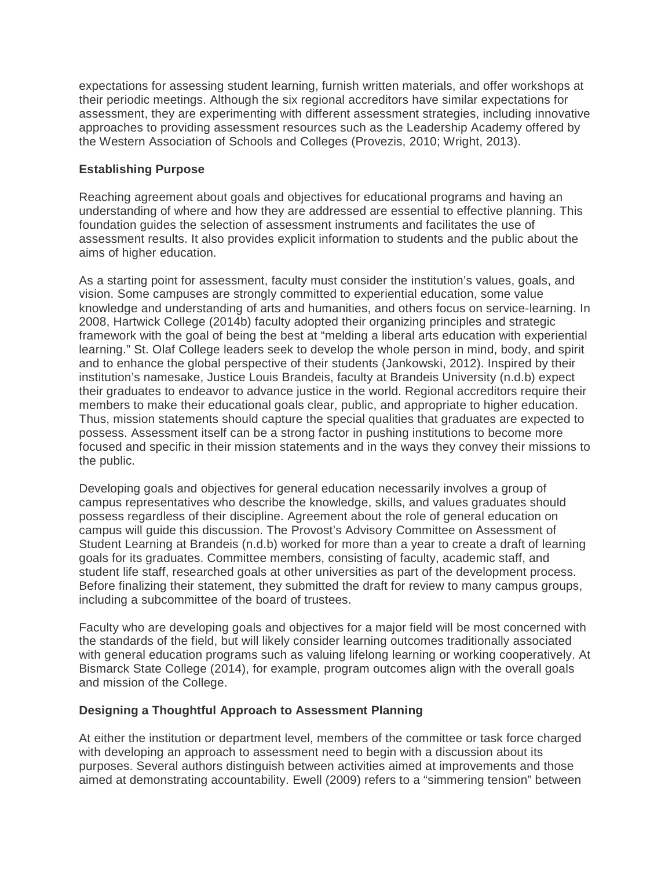expectations for assessing student learning, furnish written materials, and offer workshops at their periodic meetings. Although the six regional accreditors have similar expectations for assessment, they are experimenting with different assessment strategies, including innovative approaches to providing assessment resources such as the Leadership Academy offered by the Western Association of Schools and Colleges (Provezis, 2010; Wright, 2013).

# **Establishing Purpose**

Reaching agreement about goals and objectives for educational programs and having an understanding of where and how they are addressed are essential to effective planning. This foundation guides the selection of assessment instruments and facilitates the use of assessment results. It also provides explicit information to students and the public about the aims of higher education.

As a starting point for assessment, faculty must consider the institution's values, goals, and vision. Some campuses are strongly committed to experiential education, some value knowledge and understanding of arts and humanities, and others focus on service-learning. In 2008, Hartwick College (2014b) faculty adopted their organizing principles and strategic framework with the goal of being the best at "melding a liberal arts education with experiential learning." St. Olaf College leaders seek to develop the whole person in mind, body, and spirit and to enhance the global perspective of their students (Jankowski, 2012). Inspired by their institution's namesake, Justice Louis Brandeis, faculty at Brandeis University (n.d.b) expect their graduates to endeavor to advance justice in the world. Regional accreditors require their members to make their educational goals clear, public, and appropriate to higher education. Thus, mission statements should capture the special qualities that graduates are expected to possess. Assessment itself can be a strong factor in pushing institutions to become more focused and specific in their mission statements and in the ways they convey their missions to the public.

Developing goals and objectives for general education necessarily involves a group of campus representatives who describe the knowledge, skills, and values graduates should possess regardless of their discipline. Agreement about the role of general education on campus will guide this discussion. The Provost's Advisory Committee on Assessment of Student Learning at Brandeis (n.d.b) worked for more than a year to create a draft of learning goals for its graduates. Committee members, consisting of faculty, academic staff, and student life staff, researched goals at other universities as part of the development process. Before finalizing their statement, they submitted the draft for review to many campus groups, including a subcommittee of the board of trustees.

Faculty who are developing goals and objectives for a major field will be most concerned with the standards of the field, but will likely consider learning outcomes traditionally associated with general education programs such as valuing lifelong learning or working cooperatively. At Bismarck State College (2014), for example, program outcomes align with the overall goals and mission of the College.

## **Designing a Thoughtful Approach to Assessment Planning**

At either the institution or department level, members of the committee or task force charged with developing an approach to assessment need to begin with a discussion about its purposes. Several authors distinguish between activities aimed at improvements and those aimed at demonstrating accountability. Ewell (2009) refers to a "simmering tension" between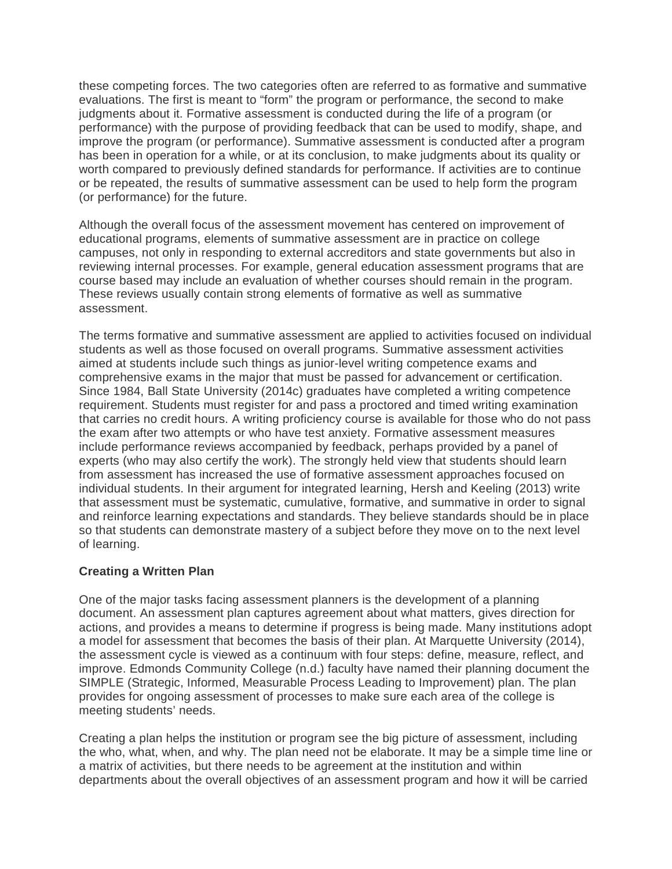these competing forces. The two categories often are referred to as formative and summative evaluations. The first is meant to "form" the program or performance, the second to make judgments about it. Formative assessment is conducted during the life of a program (or performance) with the purpose of providing feedback that can be used to modify, shape, and improve the program (or performance). Summative assessment is conducted after a program has been in operation for a while, or at its conclusion, to make judgments about its quality or worth compared to previously defined standards for performance. If activities are to continue or be repeated, the results of summative assessment can be used to help form the program (or performance) for the future.

Although the overall focus of the assessment movement has centered on improvement of educational programs, elements of summative assessment are in practice on college campuses, not only in responding to external accreditors and state governments but also in reviewing internal processes. For example, general education assessment programs that are course based may include an evaluation of whether courses should remain in the program. These reviews usually contain strong elements of formative as well as summative assessment.

The terms formative and summative assessment are applied to activities focused on individual students as well as those focused on overall programs. Summative assessment activities aimed at students include such things as junior-level writing competence exams and comprehensive exams in the major that must be passed for advancement or certification. Since 1984, Ball State University (2014c) graduates have completed a writing competence requirement. Students must register for and pass a proctored and timed writing examination that carries no credit hours. A writing proficiency course is available for those who do not pass the exam after two attempts or who have test anxiety. Formative assessment measures include performance reviews accompanied by feedback, perhaps provided by a panel of experts (who may also certify the work). The strongly held view that students should learn from assessment has increased the use of formative assessment approaches focused on individual students. In their argument for integrated learning, Hersh and Keeling (2013) write that assessment must be systematic, cumulative, formative, and summative in order to signal and reinforce learning expectations and standards. They believe standards should be in place so that students can demonstrate mastery of a subject before they move on to the next level of learning.

## **Creating a Written Plan**

One of the major tasks facing assessment planners is the development of a planning document. An assessment plan captures agreement about what matters, gives direction for actions, and provides a means to determine if progress is being made. Many institutions adopt a model for assessment that becomes the basis of their plan. At Marquette University (2014), the assessment cycle is viewed as a continuum with four steps: define, measure, reflect, and improve. Edmonds Community College (n.d.) faculty have named their planning document the SIMPLE (Strategic, Informed, Measurable Process Leading to Improvement) plan. The plan provides for ongoing assessment of processes to make sure each area of the college is meeting students' needs.

Creating a plan helps the institution or program see the big picture of assessment, including the who, what, when, and why. The plan need not be elaborate. It may be a simple time line or a matrix of activities, but there needs to be agreement at the institution and within departments about the overall objectives of an assessment program and how it will be carried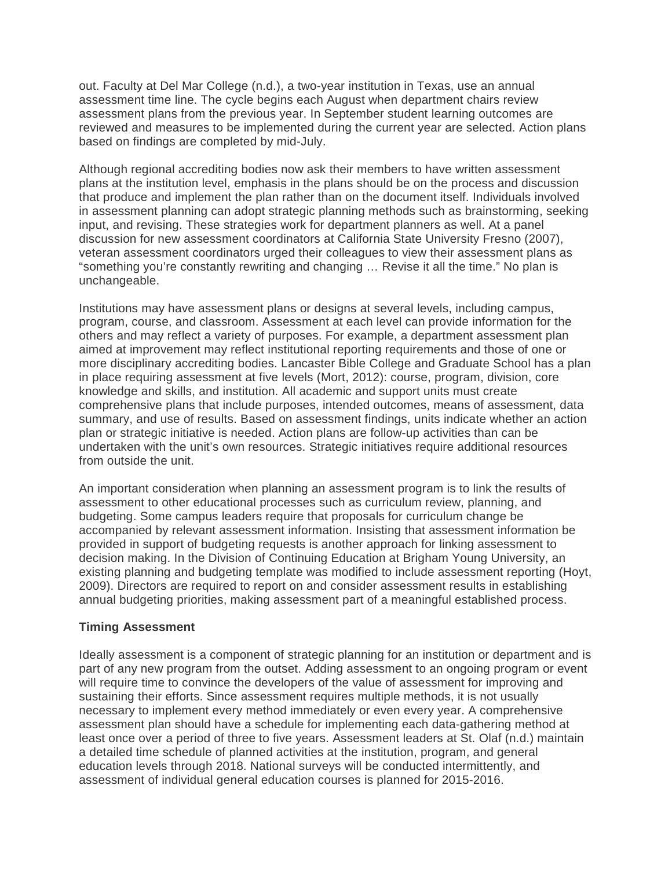out. Faculty at Del Mar College (n.d.), a two-year institution in Texas, use an annual assessment time line. The cycle begins each August when department chairs review assessment plans from the previous year. In September student learning outcomes are reviewed and measures to be implemented during the current year are selected. Action plans based on findings are completed by mid-July.

Although regional accrediting bodies now ask their members to have written assessment plans at the institution level, emphasis in the plans should be on the process and discussion that produce and implement the plan rather than on the document itself. Individuals involved in assessment planning can adopt strategic planning methods such as brainstorming, seeking input, and revising. These strategies work for department planners as well. At a panel discussion for new assessment coordinators at California State University Fresno (2007), veteran assessment coordinators urged their colleagues to view their assessment plans as "something you're constantly rewriting and changing … Revise it all the time." No plan is unchangeable.

Institutions may have assessment plans or designs at several levels, including campus, program, course, and classroom. Assessment at each level can provide information for the others and may reflect a variety of purposes. For example, a department assessment plan aimed at improvement may reflect institutional reporting requirements and those of one or more disciplinary accrediting bodies. Lancaster Bible College and Graduate School has a plan in place requiring assessment at five levels (Mort, 2012): course, program, division, core knowledge and skills, and institution. All academic and support units must create comprehensive plans that include purposes, intended outcomes, means of assessment, data summary, and use of results. Based on assessment findings, units indicate whether an action plan or strategic initiative is needed. Action plans are follow-up activities than can be undertaken with the unit's own resources. Strategic initiatives require additional resources from outside the unit.

An important consideration when planning an assessment program is to link the results of assessment to other educational processes such as curriculum review, planning, and budgeting. Some campus leaders require that proposals for curriculum change be accompanied by relevant assessment information. Insisting that assessment information be provided in support of budgeting requests is another approach for linking assessment to decision making. In the Division of Continuing Education at Brigham Young University, an existing planning and budgeting template was modified to include assessment reporting (Hoyt, 2009). Directors are required to report on and consider assessment results in establishing annual budgeting priorities, making assessment part of a meaningful established process.

## **Timing Assessment**

Ideally assessment is a component of strategic planning for an institution or department and is part of any new program from the outset. Adding assessment to an ongoing program or event will require time to convince the developers of the value of assessment for improving and sustaining their efforts. Since assessment requires multiple methods, it is not usually necessary to implement every method immediately or even every year. A comprehensive assessment plan should have a schedule for implementing each data-gathering method at least once over a period of three to five years. Assessment leaders at St. Olaf (n.d.) maintain a detailed time schedule of planned activities at the institution, program, and general education levels through 2018. National surveys will be conducted intermittently, and assessment of individual general education courses is planned for 2015-2016.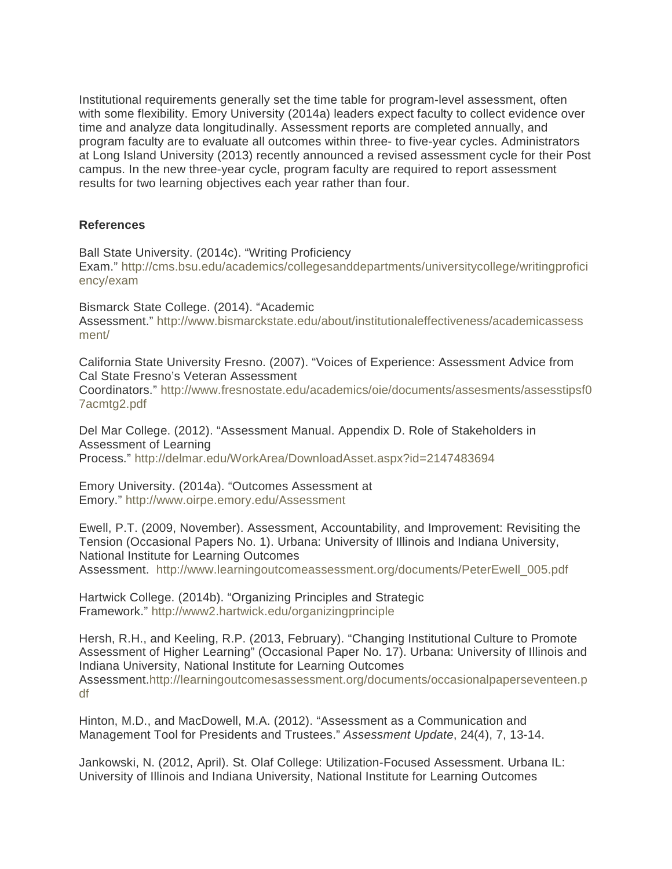Institutional requirements generally set the time table for program-level assessment, often with some flexibility. Emory University (2014a) leaders expect faculty to collect evidence over time and analyze data longitudinally. Assessment reports are completed annually, and program faculty are to evaluate all outcomes within three- to five-year cycles. Administrators at Long Island University (2013) recently announced a revised assessment cycle for their Post campus. In the new three-year cycle, program faculty are required to report assessment results for two learning objectives each year rather than four.

## **References**

Ball State University. (2014c). "Writing Proficiency Exam." [http://cms.bsu.edu/academics/collegesanddepartments/universitycollege/writingprofici](http://cms.bsu.edu/academics/collegesanddepartments/universitycollege/writingproficiency/exam) [ency/exam](http://cms.bsu.edu/academics/collegesanddepartments/universitycollege/writingproficiency/exam)

Bismarck State College. (2014). "Academic Assessment." [http://www.bismarckstate.edu/about/institutionaleffectiveness/academicassess](http://www.bismarckstate.edu/about/institutionaleffectiveness/academicassessment/) [ment/](http://www.bismarckstate.edu/about/institutionaleffectiveness/academicassessment/)

California State University Fresno. (2007). "Voices of Experience: Assessment Advice from Cal State Fresno's Veteran Assessment Coordinators." [http://www.fresnostate.edu/academics/oie/documents/assesments/assesstipsf0](http://www.fresnostate.edu/academics/oie/documents/assesments/assesstipsf07acmtg2.pdf) [7acmtg2.pdf](http://www.fresnostate.edu/academics/oie/documents/assesments/assesstipsf07acmtg2.pdf)

Del Mar College. (2012). "Assessment Manual. Appendix D. Role of Stakeholders in Assessment of Learning

Process." <http://delmar.edu/WorkArea/DownloadAsset.aspx?id=2147483694>

Emory University. (2014a). "Outcomes Assessment at Emory." <http://www.oirpe.emory.edu/Assessment>

Ewell, P.T. (2009, November). Assessment, Accountability, and Improvement: Revisiting the Tension (Occasional Papers No. 1). Urbana: University of Illinois and Indiana University, National Institute for Learning Outcomes Assessment. [http://www.learningoutcomeassessment.org/documents/PeterEwell\\_005.pdf](http://www.learningoutcomeassessment.org/documents/PeterEwell_005.pdf)

Hartwick College. (2014b). "Organizing Principles and Strategic Framework." <http://www2.hartwick.edu/organizingprinciple>

Hersh, R.H., and Keeling, R.P. (2013, February). "Changing Institutional Culture to Promote Assessment of Higher Learning" (Occasional Paper No. 17). Urbana: University of Illinois and Indiana University, National Institute for Learning Outcomes Assessment[.http://learningoutcomesassessment.org/documents/occasionalpaperseventeen.p](http://learningoutcomesassessment.org/documents/occasionalpaperseventeen.pdf) [df](http://learningoutcomesassessment.org/documents/occasionalpaperseventeen.pdf)

Hinton, M.D., and MacDowell, M.A. (2012). "Assessment as a Communication and Management Tool for Presidents and Trustees." *Assessment Update*, 24(4), 7, 13-14.

Jankowski, N. (2012, April). St. Olaf College: Utilization-Focused Assessment. Urbana IL: University of Illinois and Indiana University, National Institute for Learning Outcomes